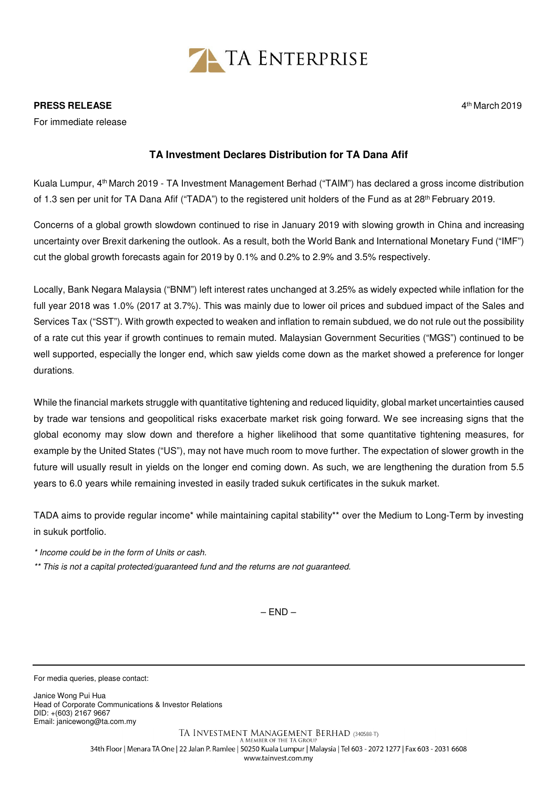

## **PRESS RELEASE**

For immediate release

## **TA Investment Declares Distribution for TA Dana Afif**

Kuala Lumpur, 4th March 2019 - TA Investment Management Berhad ("TAIM") has declared a gross income distribution of 1.3 sen per unit for TA Dana Afif ("TADA") to the registered unit holders of the Fund as at 28th February 2019.

Concerns of a global growth slowdown continued to rise in January 2019 with slowing growth in China and increasing uncertainty over Brexit darkening the outlook. As a result, both the World Bank and International Monetary Fund ("IMF") cut the global growth forecasts again for 2019 by 0.1% and 0.2% to 2.9% and 3.5% respectively.

Locally, Bank Negara Malaysia ("BNM") left interest rates unchanged at 3.25% as widely expected while inflation for the full year 2018 was 1.0% (2017 at 3.7%). This was mainly due to lower oil prices and subdued impact of the Sales and Services Tax ("SST"). With growth expected to weaken and inflation to remain subdued, we do not rule out the possibility of a rate cut this year if growth continues to remain muted. Malaysian Government Securities ("MGS") continued to be well supported, especially the longer end, which saw yields come down as the market showed a preference for longer durations.

While the financial markets struggle with quantitative tightening and reduced liquidity, global market uncertainties caused by trade war tensions and geopolitical risks exacerbate market risk going forward. We see increasing signs that the global economy may slow down and therefore a higher likelihood that some quantitative tightening measures, for example by the United States ("US"), may not have much room to move further. The expectation of slower growth in the future will usually result in yields on the longer end coming down. As such, we are lengthening the duration from 5.5 years to 6.0 years while remaining invested in easily traded sukuk certificates in the sukuk market.

TADA aims to provide regular income\* while maintaining capital stability\*\* over the Medium to Long-Term by investing in sukuk portfolio.

\* Income could be in the form of Units or cash.

\*\* This is not a capital protected/guaranteed fund and the returns are not guaranteed.

 $-$  END  $-$ 

For media queries, please contact:

Janice Wong Pui Hua Head of Corporate Communications & Investor Relations DID: +(603) 2167 9667 Email: janicewong@ta.com.my